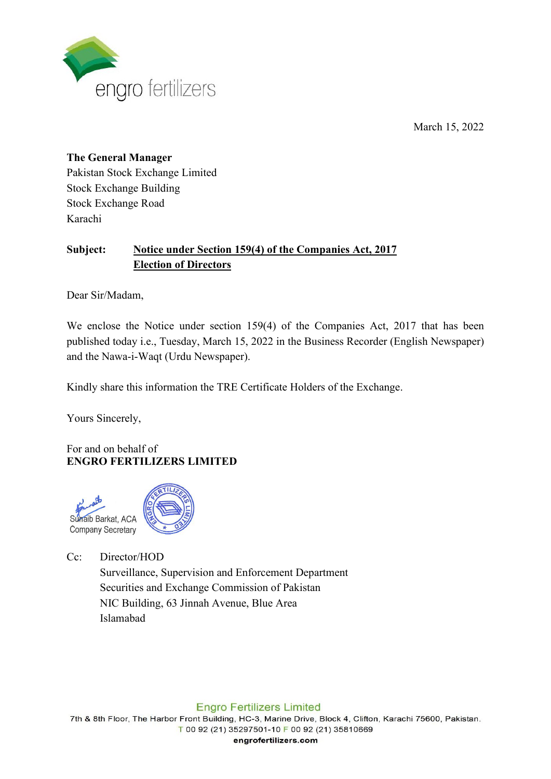

March 15, 2022

## **The General Manager** Pakistan Stock Exchange Limited Stock Exchange Building Stock Exchange Road Karachi

# **Subject: Notice under Section 159(4) of the Companies Act, 2017 Election of Directors**

Dear Sir/Madam,

We enclose the Notice under section 159(4) of the Companies Act, 2017 that has been published today i.e., Tuesday, March 15, 2022 in the Business Recorder (English Newspaper) and the Nawa-i-Waqt (Urdu Newspaper).

Kindly share this information the TRE Certificate Holders of the Exchange.

Yours Sincerely,

For and on behalf of **ENGRO FERTILIZERS LIMITED**



Cc: Director/HOD

Surveillance, Supervision and Enforcement Department Securities and Exchange Commission of Pakistan NIC Building, 63 Jinnah Avenue, Blue Area Islamabad

## **Engro Fertilizers Limited**

7th & 8th Floor, The Harbor Front Building, HC-3, Marine Drive, Block 4, Clifton, Karachi 75600, Pakistan. T 00 92 (21) 35297501-10 F 00 92 (21) 35810669

engrofertilizers.com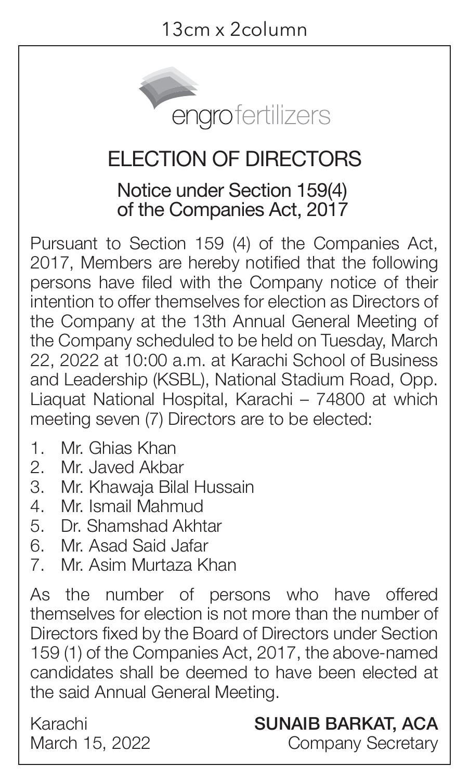

### ELECTION OF DIRECTORS

#### Notice under Section 159(4) of the Companies Act, 2017

Pursuant to Section 159 (4) of the Companies Act, 2017, Members are hereby notified that the following persons have filed with the Company notice of their intention to offer themselves for election as Directors of the Company at the 13th Annual General Meeting of the Company scheduled to be held on Tuesday, March 22, 2022 at 10:00 a.m. at Karachi School of Business and Leadership (KSBL), National Stadium Road, Opp. Liaquat National Hospital, Karachi – 74800 at which meeting seven (7) Directors are to be elected:

- 1. Mr. Ghias Khan
- 2. Mr. Javed Akbar
- 3. Mr. Khawaja Bilal Hussain
- 4. Mr. Ismail Mahmud
- 5. Dr. Shamshad Akhtar
- 6. Mr. Asad Said Jafar<br>7 Mr. Asim Murtaza K
- 7. Mr. Asim Murtaza Khan

As the number of persons who have offered themselves for election is not more than the number of Directors fixed by the Board of Directors under Section 159 (1) of the Companies Act, 2017, the above-named candidates shall be deemed to have been elected at the said Annual General Meeting.

Karachi March 15, 2022

#### SUNAIB BARKAT, ACA

Company Secretary